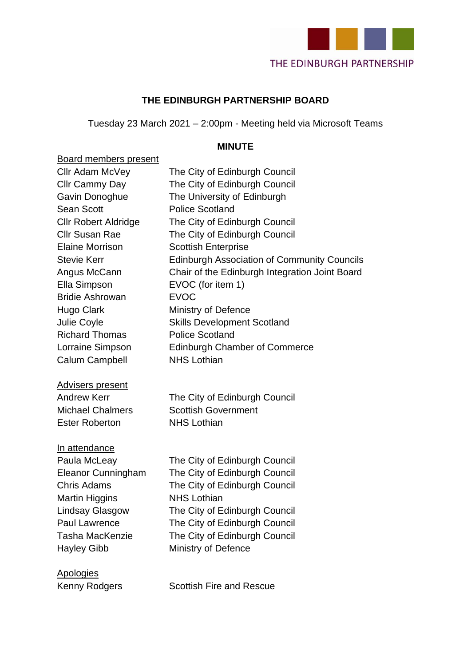

#### **THE EDINBURGH PARTNERSHIP BOARD**

Tuesday 23 March 2021 – 2:00pm - Meeting held via Microsoft Teams

#### **MINUTE**

#### Board members present

| Cllr Adam McVey             | The City of Edinburgh Council                      |
|-----------------------------|----------------------------------------------------|
| Cllr Cammy Day              | The City of Edinburgh Council                      |
| Gavin Donoghue              | The University of Edinburgh                        |
| <b>Sean Scott</b>           | <b>Police Scotland</b>                             |
| <b>Cllr Robert Aldridge</b> | The City of Edinburgh Council                      |
| <b>Cllr Susan Rae</b>       | The City of Edinburgh Council                      |
| <b>Elaine Morrison</b>      | <b>Scottish Enterprise</b>                         |
| <b>Stevie Kerr</b>          | <b>Edinburgh Association of Community Councils</b> |
| Angus McCann                | Chair of the Edinburgh Integration Joint Board     |
| Ella Simpson                | EVOC (for item 1)                                  |
| <b>Bridie Ashrowan</b>      | <b>EVOC</b>                                        |
| <b>Hugo Clark</b>           | <b>Ministry of Defence</b>                         |
| Julie Coyle                 | <b>Skills Development Scotland</b>                 |
| <b>Richard Thomas</b>       | <b>Police Scotland</b>                             |
| Lorraine Simpson            | <b>Edinburgh Chamber of Commerce</b>               |
| <b>Calum Campbell</b>       | <b>NHS Lothian</b>                                 |
|                             |                                                    |
| <b>Advisers present</b>     |                                                    |
| <b>Andrew Kerr</b>          | The City of Edinburgh Council                      |
| <b>Michael Chalmers</b>     | <b>Scottish Government</b>                         |
| <b>Ester Roberton</b>       | <b>NHS Lothian</b>                                 |
|                             |                                                    |
| In attendance               |                                                    |
| Paula McLeay                | The City of Edinburgh Council                      |
| <b>Eleanor Cunningham</b>   | The City of Edinburgh Council                      |
| <b>Chris Adams</b>          | The City of Edinburgh Council                      |
| <b>Martin Higgins</b>       | <b>NHS Lothian</b>                                 |
| <b>Lindsay Glasgow</b>      | The City of Edinburgh Council                      |
| <b>Paul Lawrence</b>        | The City of Edinburgh Council                      |
| <b>Tasha MacKenzie</b>      | The City of Edinburgh Council                      |
| <b>Hayley Gibb</b>          | <b>Ministry of Defence</b>                         |
|                             |                                                    |
| <b>Apologies</b>            |                                                    |

Kenny Rodgers **Scottish Fire and Rescue**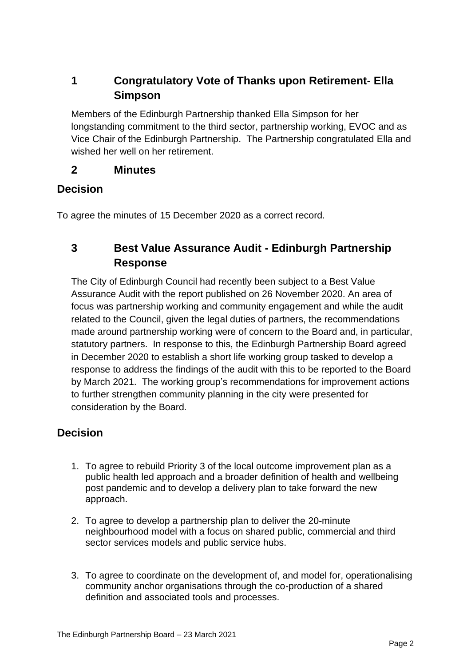# **1 Congratulatory Vote of Thanks upon Retirement- Ella Simpson**

Members of the Edinburgh Partnership thanked Ella Simpson for her longstanding commitment to the third sector, partnership working, EVOC and as Vice Chair of the Edinburgh Partnership. The Partnership congratulated Ella and wished her well on her retirement.

### **2 Minutes**

### **Decision**

To agree the minutes of 15 December 2020 as a correct record.

# **3 Best Value Assurance Audit - Edinburgh Partnership Response**

The City of Edinburgh Council had recently been subject to a Best Value Assurance Audit with the report published on 26 November 2020. An area of focus was partnership working and community engagement and while the audit related to the Council, given the legal duties of partners, the recommendations made around partnership working were of concern to the Board and, in particular, statutory partners. In response to this, the Edinburgh Partnership Board agreed in December 2020 to establish a short life working group tasked to develop a response to address the findings of the audit with this to be reported to the Board by March 2021. The working group's recommendations for improvement actions to further strengthen community planning in the city were presented for consideration by the Board.

### **Decision**

- 1. To agree to rebuild Priority 3 of the local outcome improvement plan as a public health led approach and a broader definition of health and wellbeing post pandemic and to develop a delivery plan to take forward the new approach.
- 2. To agree to develop a partnership plan to deliver the 20-minute neighbourhood model with a focus on shared public, commercial and third sector services models and public service hubs.
- 3. To agree to coordinate on the development of, and model for, operationalising community anchor organisations through the co-production of a shared definition and associated tools and processes.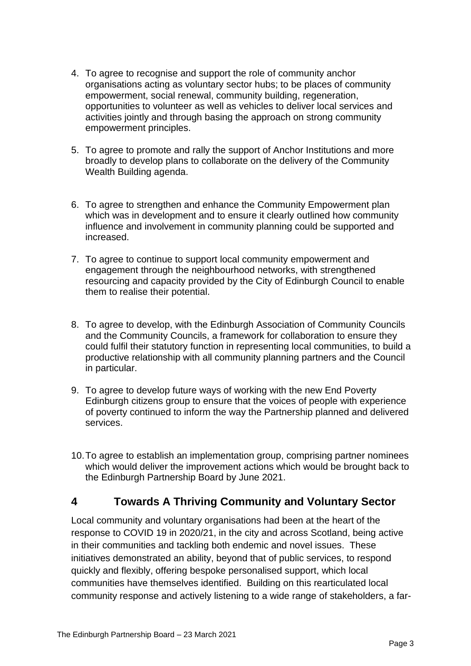- 4. To agree to recognise and support the role of community anchor organisations acting as voluntary sector hubs; to be places of community empowerment, social renewal, community building, regeneration, opportunities to volunteer as well as vehicles to deliver local services and activities jointly and through basing the approach on strong community empowerment principles.
- 5. To agree to promote and rally the support of Anchor Institutions and more broadly to develop plans to collaborate on the delivery of the Community Wealth Building agenda.
- 6. To agree to strengthen and enhance the Community Empowerment plan which was in development and to ensure it clearly outlined how community influence and involvement in community planning could be supported and increased.
- 7. To agree to continue to support local community empowerment and engagement through the neighbourhood networks, with strengthened resourcing and capacity provided by the City of Edinburgh Council to enable them to realise their potential.
- 8. To agree to develop, with the Edinburgh Association of Community Councils and the Community Councils, a framework for collaboration to ensure they could fulfil their statutory function in representing local communities, to build a productive relationship with all community planning partners and the Council in particular.
- 9. To agree to develop future ways of working with the new End Poverty Edinburgh citizens group to ensure that the voices of people with experience of poverty continued to inform the way the Partnership planned and delivered services.
- 10.To agree to establish an implementation group, comprising partner nominees which would deliver the improvement actions which would be brought back to the Edinburgh Partnership Board by June 2021.

### **4 Towards A Thriving Community and Voluntary Sector**

Local community and voluntary organisations had been at the heart of the response to COVID 19 in 2020/21, in the city and across Scotland, being active in their communities and tackling both endemic and novel issues. These initiatives demonstrated an ability, beyond that of public services, to respond quickly and flexibly, offering bespoke personalised support, which local communities have themselves identified. Building on this rearticulated local community response and actively listening to a wide range of stakeholders, a far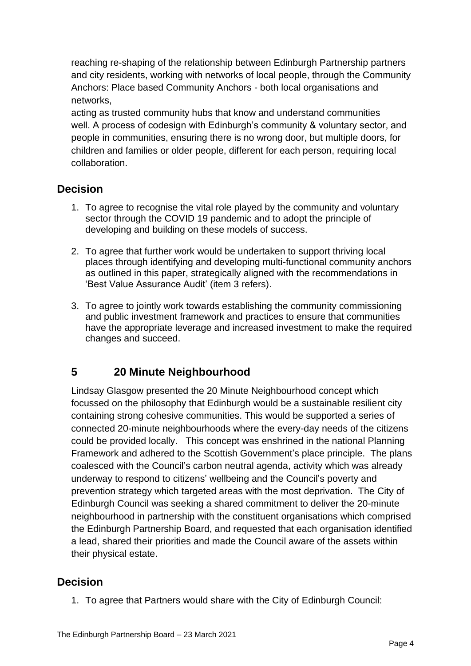reaching re-shaping of the relationship between Edinburgh Partnership partners and city residents, working with networks of local people, through the Community Anchors: Place based Community Anchors - both local organisations and networks,

acting as trusted community hubs that know and understand communities well. A process of codesign with Edinburgh's community & voluntary sector, and people in communities, ensuring there is no wrong door, but multiple doors, for children and families or older people, different for each person, requiring local collaboration.

# **Decision**

- 1. To agree to recognise the vital role played by the community and voluntary sector through the COVID 19 pandemic and to adopt the principle of developing and building on these models of success.
- 2. To agree that further work would be undertaken to support thriving local places through identifying and developing multi-functional community anchors as outlined in this paper, strategically aligned with the recommendations in 'Best Value Assurance Audit' (item 3 refers).
- 3. To agree to jointly work towards establishing the community commissioning and public investment framework and practices to ensure that communities have the appropriate leverage and increased investment to make the required changes and succeed.

# **5 20 Minute Neighbourhood**

Lindsay Glasgow presented the 20 Minute Neighbourhood concept which focussed on the philosophy that Edinburgh would be a sustainable resilient city containing strong cohesive communities. This would be supported a series of connected 20-minute neighbourhoods where the every-day needs of the citizens could be provided locally. This concept was enshrined in the national Planning Framework and adhered to the Scottish Government's place principle. The plans coalesced with the Council's carbon neutral agenda, activity which was already underway to respond to citizens' wellbeing and the Council's poverty and prevention strategy which targeted areas with the most deprivation. The City of Edinburgh Council was seeking a shared commitment to deliver the 20-minute neighbourhood in partnership with the constituent organisations which comprised the Edinburgh Partnership Board, and requested that each organisation identified a lead, shared their priorities and made the Council aware of the assets within their physical estate.

# **Decision**

1. To agree that Partners would share with the City of Edinburgh Council: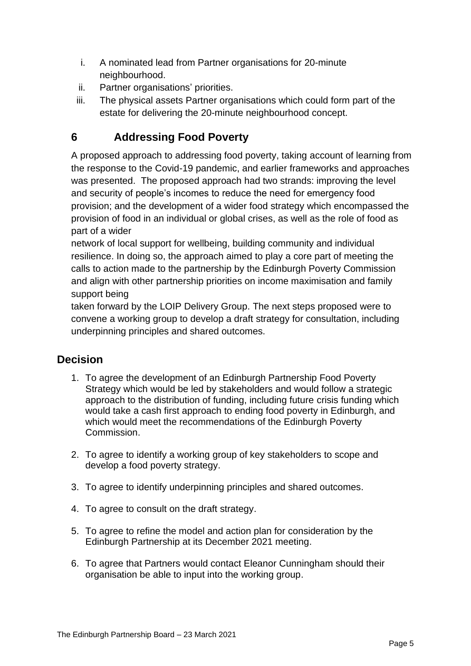- i. A nominated lead from Partner organisations for 20-minute neighbourhood.
- ii. Partner organisations' priorities.
- iii. The physical assets Partner organisations which could form part of the estate for delivering the 20-minute neighbourhood concept.

# **6 Addressing Food Poverty**

A proposed approach to addressing food poverty, taking account of learning from the response to the Covid-19 pandemic, and earlier frameworks and approaches was presented. The proposed approach had two strands: improving the level and security of people's incomes to reduce the need for emergency food provision; and the development of a wider food strategy which encompassed the provision of food in an individual or global crises, as well as the role of food as part of a wider

network of local support for wellbeing, building community and individual resilience. In doing so, the approach aimed to play a core part of meeting the calls to action made to the partnership by the Edinburgh Poverty Commission and align with other partnership priorities on income maximisation and family support being

taken forward by the LOIP Delivery Group. The next steps proposed were to convene a working group to develop a draft strategy for consultation, including underpinning principles and shared outcomes.

# **Decision**

- 1. To agree the development of an Edinburgh Partnership Food Poverty Strategy which would be led by stakeholders and would follow a strategic approach to the distribution of funding, including future crisis funding which would take a cash first approach to ending food poverty in Edinburgh, and which would meet the recommendations of the Edinburgh Poverty Commission.
- 2. To agree to identify a working group of key stakeholders to scope and develop a food poverty strategy.
- 3. To agree to identify underpinning principles and shared outcomes.
- 4. To agree to consult on the draft strategy.
- 5. To agree to refine the model and action plan for consideration by the Edinburgh Partnership at its December 2021 meeting.
- 6. To agree that Partners would contact Eleanor Cunningham should their organisation be able to input into the working group.